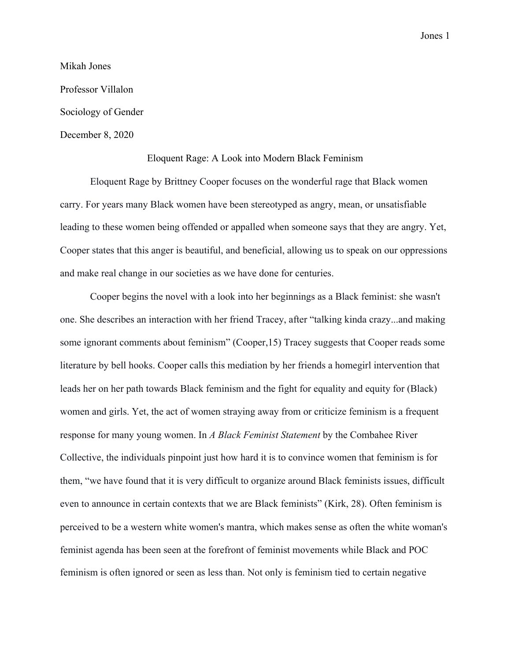Jones 1

Mikah Jones Professor Villalon Sociology of Gender December 8, 2020

## Eloquent Rage: A Look into Modern Black Feminism

Eloquent Rage by Brittney Cooper focuses on the wonderful rage that Black women carry. For years many Black women have been stereotyped as angry, mean, or unsatisfiable leading to these women being offended or appalled when someone says that they are angry. Yet, Cooper states that this anger is beautiful, and beneficial, allowing us to speak on our oppressions and make real change in our societies as we have done for centuries.

Cooper begins the novel with a look into her beginnings as a Black feminist: she wasn't one. She describes an interaction with her friend Tracey, after "talking kinda crazy...and making some ignorant comments about feminism" (Cooper,15) Tracey suggests that Cooper reads some literature by bell hooks. Cooper calls this mediation by her friends a homegirl intervention that leads her on her path towards Black feminism and the fight for equality and equity for (Black) women and girls. Yet, the act of women straying away from or criticize feminism is a frequent response for many young women. In *A Black Feminist Statement* by the Combahee River Collective, the individuals pinpoint just how hard it is to convince women that feminism is for them, "we have found that it is very difficult to organize around Black feminists issues, difficult even to announce in certain contexts that we are Black feminists" (Kirk, 28). Often feminism is perceived to be a western white women's mantra, which makes sense as often the white woman's feminist agenda has been seen at the forefront of feminist movements while Black and POC feminism is often ignored or seen as less than. Not only is feminism tied to certain negative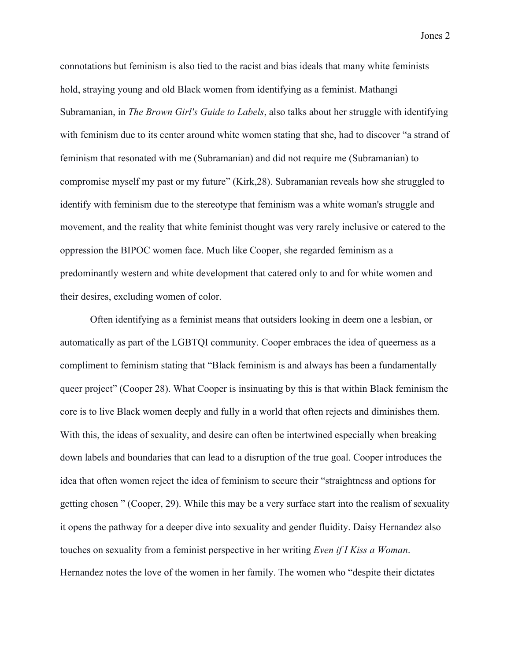connotations but feminism is also tied to the racist and bias ideals that many white feminists hold, straying young and old Black women from identifying as a feminist. Mathangi Subramanian, in *The Brown Girl's Guide to Labels*, also talks about her struggle with identifying with feminism due to its center around white women stating that she, had to discover "a strand of feminism that resonated with me (Subramanian) and did not require me (Subramanian) to compromise myself my past or my future" (Kirk,28). Subramanian reveals how she struggled to identify with feminism due to the stereotype that feminism was a white woman's struggle and movement, and the reality that white feminist thought was very rarely inclusive or catered to the oppression the BIPOC women face. Much like Cooper, she regarded feminism as a predominantly western and white development that catered only to and for white women and their desires, excluding women of color.

Often identifying as a feminist means that outsiders looking in deem one a lesbian, or automatically as part of the LGBTQI community. Cooper embraces the idea of queerness as a compliment to feminism stating that "Black feminism is and always has been a fundamentally queer project" (Cooper 28). What Cooper is insinuating by this is that within Black feminism the core is to live Black women deeply and fully in a world that often rejects and diminishes them. With this, the ideas of sexuality, and desire can often be intertwined especially when breaking down labels and boundaries that can lead to a disruption of the true goal. Cooper introduces the idea that often women reject the idea of feminism to secure their "straightness and options for getting chosen " (Cooper, 29). While this may be a very surface start into the realism of sexuality it opens the pathway for a deeper dive into sexuality and gender fluidity. Daisy Hernandez also touches on sexuality from a feminist perspective in her writing *Even if I Kiss a Woman*. Hernandez notes the love of the women in her family. The women who "despite their dictates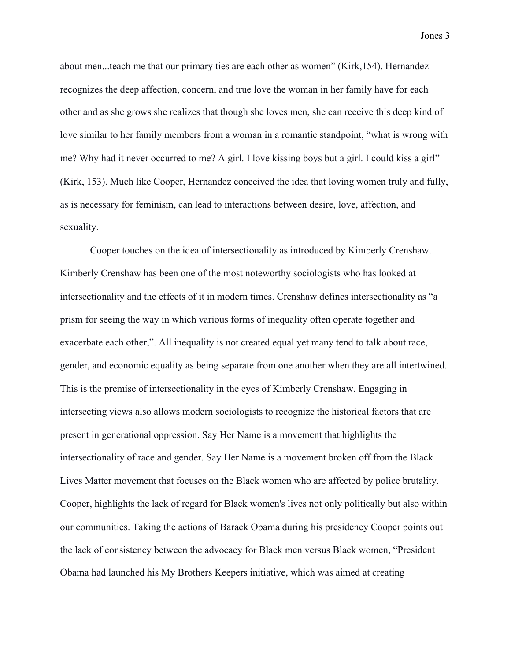about men...teach me that our primary ties are each other as women" (Kirk,154). Hernandez

recognizes the deep affection, concern, and true love the woman in her family have for each other and as she grows she realizes that though she loves men, she can receive this deep kind of love similar to her family members from a woman in a romantic standpoint, "what is wrong with me? Why had it never occurred to me? A girl. I love kissing boys but a girl. I could kiss a girl" (Kirk, 153). Much like Cooper, Hernandez conceived the idea that loving women truly and fully, as is necessary for feminism, can lead to interactions between desire, love, affection, and sexuality.

Cooper touches on the idea of intersectionality as introduced by Kimberly Crenshaw. Kimberly Crenshaw has been one of the most noteworthy sociologists who has looked at intersectionality and the effects of it in modern times. Crenshaw defines intersectionality as "a prism for seeing the way in which various forms of inequality often operate together and exacerbate each other,". All inequality is not created equal yet many tend to talk about race, gender, and economic equality as being separate from one another when they are all intertwined. This is the premise of intersectionality in the eyes of Kimberly Crenshaw. Engaging in intersecting views also allows modern sociologists to recognize the historical factors that are present in generational oppression. Say Her Name is a movement that highlights the intersectionality of race and gender. Say Her Name is a movement broken off from the Black Lives Matter movement that focuses on the Black women who are affected by police brutality. Cooper, highlights the lack of regard for Black women's lives not only politically but also within our communities. Taking the actions of Barack Obama during his presidency Cooper points out the lack of consistency between the advocacy for Black men versus Black women, "President Obama had launched his My Brothers Keepers initiative, which was aimed at creating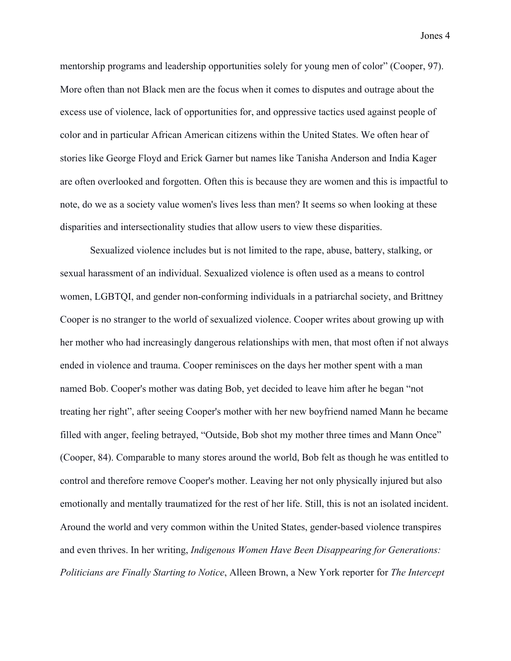Jones 4

mentorship programs and leadership opportunities solely for young men of color" (Cooper, 97). More often than not Black men are the focus when it comes to disputes and outrage about the excess use of violence, lack of opportunities for, and oppressive tactics used against people of color and in particular African American citizens within the United States. We often hear of stories like George Floyd and Erick Garner but names like Tanisha Anderson and India Kager are often overlooked and forgotten. Often this is because they are women and this is impactful to note, do we as a society value women's lives less than men? It seems so when looking at these disparities and intersectionality studies that allow users to view these disparities.

Sexualized violence includes but is not limited to the rape, abuse, battery, stalking, or sexual harassment of an individual. Sexualized violence is often used as a means to control women, LGBTQI, and gender non-conforming individuals in a patriarchal society, and Brittney Cooper is no stranger to the world of sexualized violence. Cooper writes about growing up with her mother who had increasingly dangerous relationships with men, that most often if not always ended in violence and trauma. Cooper reminisces on the days her mother spent with a man named Bob. Cooper's mother was dating Bob, yet decided to leave him after he began "not treating her right", after seeing Cooper's mother with her new boyfriend named Mann he became filled with anger, feeling betrayed, "Outside, Bob shot my mother three times and Mann Once" (Cooper, 84). Comparable to many stores around the world, Bob felt as though he was entitled to control and therefore remove Cooper's mother. Leaving her not only physically injured but also emotionally and mentally traumatized for the rest of her life. Still, this is not an isolated incident. Around the world and very common within the United States, gender-based violence transpires and even thrives. In her writing, *Indigenous Women Have Been Disappearing for Generations: Politicians are Finally Starting to Notice*, Alleen Brown, a New York reporter for *The Intercept*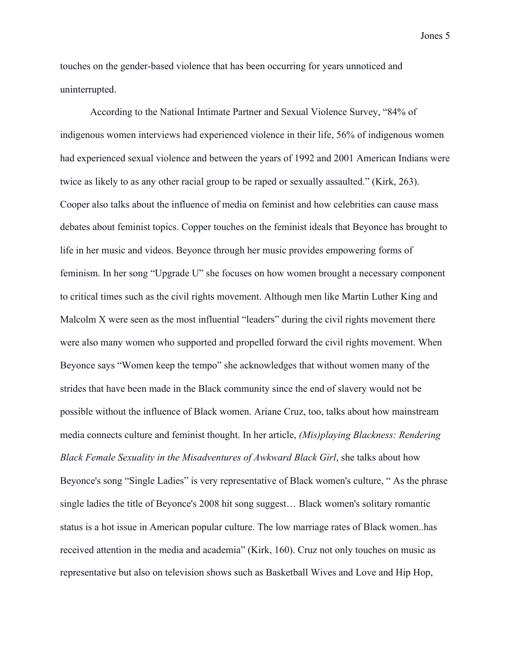touches on the gender-based violence that has been occurring for years unnoticed and uninterrupted.

According to the National Intimate Partner and Sexual Violence Survey, "84% of indigenous women interviews had experienced violence in their life, 56% of indigenous women had experienced sexual violence and between the years of 1992 and 2001 American Indians were twice as likely to as any other racial group to be raped or sexually assaulted." (Kirk, 263). Cooper also talks about the influence of media on feminist and how celebrities can cause mass debates about feminist topics. Copper touches on the feminist ideals that Beyonce has brought to life in her music and videos. Beyonce through her music provides empowering forms of feminism. In her song "Upgrade U" she focuses on how women brought a necessary component to critical times such as the civil rights movement. Although men like Martin Luther King and Malcolm X were seen as the most influential "leaders" during the civil rights movement there were also many women who supported and propelled forward the civil rights movement. When Beyonce says "Women keep the tempo" she acknowledges that without women many of the strides that have been made in the Black community since the end of slavery would not be possible without the influence of Black women. Ariane Cruz, too, talks about how mainstream media connects culture and feminist thought. In her article, *(Mis)playing Blackness: Rendering Black Female Sexuality in the Misadventures of Awkward Black Girl*, she talks about how Beyonce's song "Single Ladies" is very representative of Black women's culture, " As the phrase single ladies the title of Beyonce's 2008 hit song suggest… Black women's solitary romantic status is a hot issue in American popular culture. The low marriage rates of Black women..has received attention in the media and academia" (Kirk, 160). Cruz not only touches on music as representative but also on television shows such as Basketball Wives and Love and Hip Hop,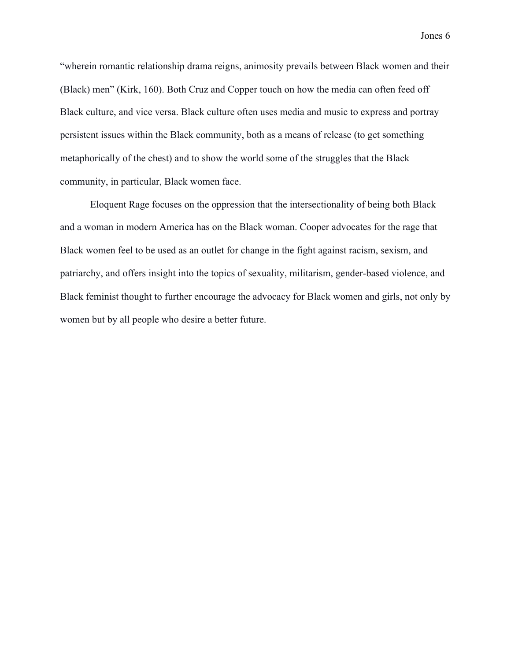Jones 6

"wherein romantic relationship drama reigns, animosity prevails between Black women and their (Black) men" (Kirk, 160). Both Cruz and Copper touch on how the media can often feed off Black culture, and vice versa. Black culture often uses media and music to express and portray persistent issues within the Black community, both as a means of release (to get something metaphorically of the chest) and to show the world some of the struggles that the Black community, in particular, Black women face.

Eloquent Rage focuses on the oppression that the intersectionality of being both Black and a woman in modern America has on the Black woman. Cooper advocates for the rage that Black women feel to be used as an outlet for change in the fight against racism, sexism, and patriarchy, and offers insight into the topics of sexuality, militarism, gender-based violence, and Black feminist thought to further encourage the advocacy for Black women and girls, not only by women but by all people who desire a better future.